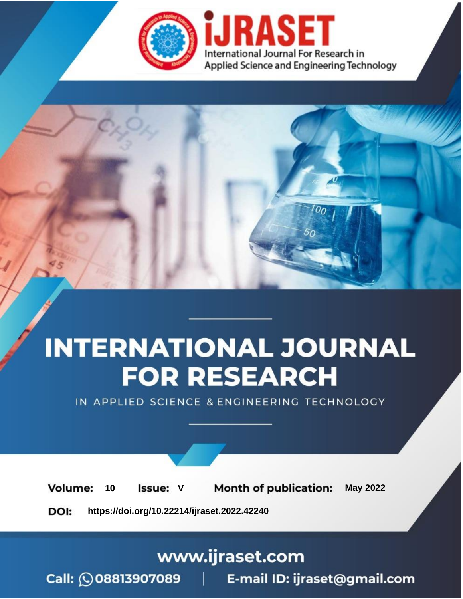

# **INTERNATIONAL JOURNAL FOR RESEARCH**

IN APPLIED SCIENCE & ENGINEERING TECHNOLOGY

**Month of publication: Volume: May 2022** 10 **Issue: V** 

DOI: https://doi.org/10.22214/ijraset.2022.42240

www.ijraset.com

Call: 008813907089 | E-mail ID: ijraset@gmail.com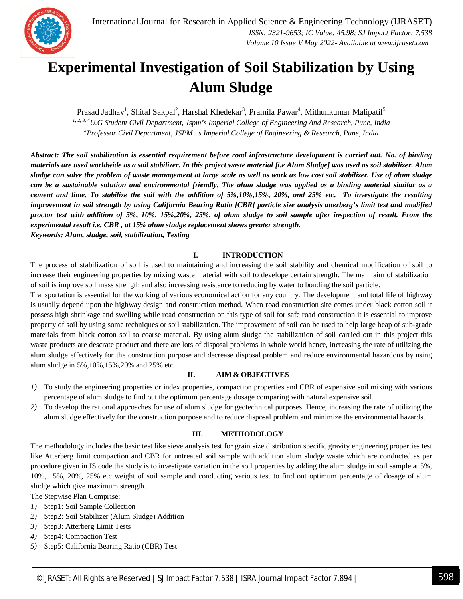

### **Experimental Investigation of Soil Stabilization by Using Alum Sludge**

Prasad Jadhav<sup>1</sup>, Shital Sakpal<sup>2</sup>, Harshal Khedekar<sup>3</sup>, Pramila Pawar<sup>4</sup>, Mithunkumar Malipatil<sup>5</sup> *1, 2, 3, <sup>4</sup>U.G Student Civil Department, Jspm's Imperial College of Engineering And Research, Pune, India <sup>5</sup>Professor Civil Department, JSPM s Imperial College of Engineering & Research, Pune, India*

*Abstract: The soil stabilization is essential requirement before road infrastructure development is carried out. No. of binding materials are used worldwide as a soil stabilizer. In this project waste material [i.e Alum Sludge] was used as soil stabilizer. Alum sludge can solve the problem of waste management at large scale as well as work as low cost soil stabilizer. Use of alum sludge can be a sustainable solution and environmental friendly. The alum sludge was applied as a binding material similar as a cement and lime. To stabilize the soil with the addition of 5%,10%,15%, 20%, and 25% etc. To investigate the resulting improvement in soil strength by using California Bearing Ratio [CBR] particle size analysis atterberg's limit test and modified proctor test with addition of 5%, 10%, 15%,20%, 25%. of alum sludge to soil sample after inspection of result. From the experimental result i.e. CBR , at 15% alum sludge replacement shows greater strength. Keywords: Alum, sludge, soil, stabilization, Testing* 

**I. INTRODUCTION**

The process of stabilization of soil is used to maintaining and increasing the soil stability and chemical modification of soil to increase their engineering properties by mixing waste material with soil to develope certain strength. The main aim of stabilization of soil is improve soil mass strength and also increasing resistance to reducing by water to bonding the soil particle.

Transportation is essential for the working of various economical action for any country. The development and total life of highway is usually depend upon the highway design and construction method. When road construction site comes under black cotton soil it possess high shrinkage and swelling while road construction on this type of soil for safe road construction it is essential to improve property of soil by using some techniques or soil stabilization. The improvement of soil can be used to help large heap of sub-grade materials from black cotton soil to coarse material. By using alum sludge the stabilization of soil carried out in this project this waste products are descrate product and there are lots of disposal problems in whole world hence, increasing the rate of utilizing the alum sludge effectively for the construction purpose and decrease disposal problem and reduce environmental hazardous by using alum sludge in 5%,10%,15%,20% and 25% etc.

#### **II. AIM & OBJECTIVES**

- *1)* To study the engineering properties or index properties, compaction properties and CBR of expensive soil mixing with various percentage of alum sludge to find out the optimum percentage dosage comparing with natural expensive soil.
- *2)* To develop the rational approaches for use of alum sludge for geotechnical purposes. Hence, increasing the rate of utilizing the alum sludge effectively for the construction purpose and to reduce disposal problem and minimize the environmental hazards.

#### **III. METHODOLOGY**

The methodology includes the basic test like sieve analysis test for grain size distribution specific gravity engineering properties test like Atterberg limit compaction and CBR for untreated soil sample with addition alum sludge waste which are conducted as per procedure given in IS code the study is to investigate variation in the soil properties by adding the alum sludge in soil sample at 5%, 10%, 15%, 20%, 25% etc weight of soil sample and conducting various test to find out optimum percentage of dosage of alum sludge which give maximum strength.

The Stepwise Plan Comprise:

- *1)* Step1: Soil Sample Collection
- *2)* Step2: Soil Stabilizer (Alum Sludge) Addition
- *3)* Step3: Atterberg Limit Tests
- *4)* Step4: Compaction Test
- *5)* Step5: California Bearing Ratio (CBR) Test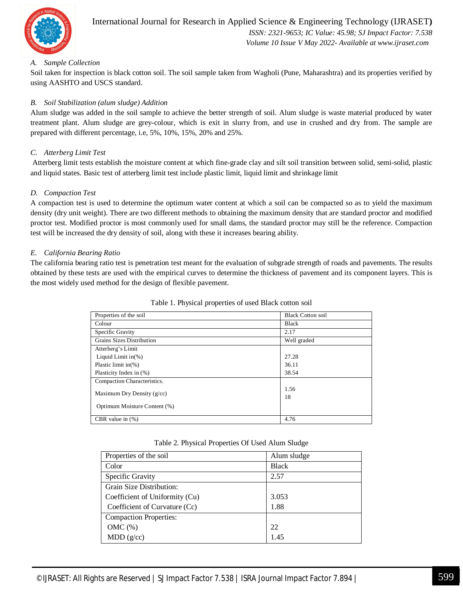

 *Volume 10 Issue V May 2022- Available at www.ijraset.com*

#### *A. Sample Collection*

Soil taken for inspection is black cotton soil. The soil sample taken from Wagholi (Pune, Maharashtra) and its properties verified by using AASHTO and USCS standard.

#### *B. Soil Stabilization (alum sludge) Addition*

Alum sludge was added in the soil sample to achieve the better strength of soil. Alum sludge is waste material produced by water treatment plant. Alum sludge are grey-colour, which is exit in slurry from, and use in crushed and dry from. The sample are prepared with different percentage, i.e, 5%, 10%, 15%, 20% and 25%.

#### *C. Atterberg Limit Test*

Atterberg limit tests establish the moisture content at which fine-grade clay and silt soil transition between solid, semi-solid, plastic and liquid states. Basic test of atterberg limit test include plastic limit, liquid limit and shrinkage limit

#### *D. Compaction Test*

A compaction test is used to determine the optimum water content at which a soil can be compacted so as to yield the maximum density (dry unit weight). There are two different methods to obtaining the maximum density that are standard proctor and modified proctor test. Modified proctor is most commonly used for small dams, the standard proctor may still be the reference. Compaction test will be increased the dry density of soil, along with these it increases bearing ability.

#### *E. California Bearing Ratio*

The california bearing ratio test is penetration test meant for the evaluation of subgrade strength of roads and pavements. The results obtained by these tests are used with the empirical curves to determine the thickness of pavement and its component layers. This is the most widely used method for the design of flexible pavement.

| Properties of the soil       | <b>Black Cotton soil</b> |
|------------------------------|--------------------------|
| Colour                       | <b>Black</b>             |
| Specific Gravity             | 2.17                     |
| Grains Sizes Distribution    | Well graded              |
| Atterberg's Limit            |                          |
| Liquid Limit $in(\%)$        | 27.28                    |
| Plastic limit in $(\%)$      | 36.11                    |
| Plasticity Index in (%)      | 38.54                    |
| Compaction Characteristics.  |                          |
| Maximum Dry Density $(g/cc)$ | 1.56                     |
|                              | 18                       |
| Optimum Moisture Content (%) |                          |
| CBR value in $(\%)$          | 4.76                     |

Table 1. Physical properties of used Black cotton soil

|  |  |  | Table 2. Physical Properties Of Used Alum Sludge |
|--|--|--|--------------------------------------------------|
|--|--|--|--------------------------------------------------|

| Properties of the soil         | Alum sludge  |
|--------------------------------|--------------|
| Color                          | <b>Black</b> |
| Specific Gravity               | 2.57         |
| Grain Size Distribution:       |              |
| Coefficient of Uniformity (Cu) | 3.053        |
| Coefficient of Curvature (Cc)  | 1.88         |
| <b>Compaction Properties:</b>  |              |
| OMC $(\%)$                     | 22           |
| MDD(g/cc)                      | 1.45         |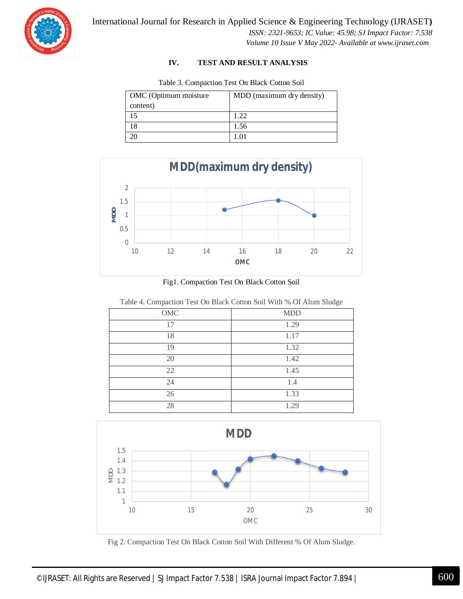

International Journal for Research in Applied Science & Engineering Technology (IJRASET**)**

 *ISSN: 2321-9653; IC Value: 45.98; SJ Impact Factor: 7.538 Volume 10 Issue V May 2022- Available at www.ijraset.com*

#### **IV. TEST AND RESULT ANALYSIS**

| OMC (Optimum moisture<br>content) | MDD (maximum dry density) |
|-----------------------------------|---------------------------|
| 15                                | 1 22                      |
| 18                                | 1.56                      |
| 20                                | 1 O 1                     |

Table 3. Compaction Test On Black Cotton Soil



Fig1. Compaction Test On Black Cotton Soil

|--|

| $\overline{\phantom{a}}$ | $\check{\phantom{a}}$ |
|--------------------------|-----------------------|
| $\rm OMC$                | <b>MDD</b>            |
| 17                       | 1.29                  |
| 18                       | 1.17                  |
| 19                       | 1.32                  |
| 20                       | 1.42                  |
| 22                       | 1.45                  |
| 24                       | 1.4                   |
| 26                       | 1.33                  |
| 28                       | 1.29                  |



Fig 2. Compaction Test On Black Cotton Soil With Different % Of Alum Sludge.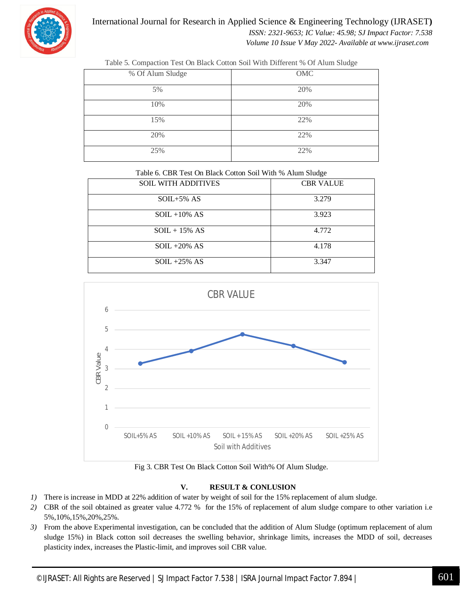

International Journal for Research in Applied Science & Engineering Technology (IJRASET**)**  *ISSN: 2321-9653; IC Value: 45.98; SJ Impact Factor: 7.538 Volume 10 Issue V May 2022- Available at www.ijraset.com*

| % Of Alum Sludge | OMC |
|------------------|-----|
| 5%               | 20% |
| 10%              | 20% |
| 15%              | 22% |
| 20%              | 22% |
| 25%              | 22% |

Table 5. Compaction Test On Black Cotton Soil With Different % Of Alum Sludge

Table 6. CBR Test On Black Cotton Soil With % Alum Sludge

| <b>SOIL WITH ADDITIVES</b> | <b>CBR VALUE</b> |
|----------------------------|------------------|
| $SOIL+5\%$ AS              | 3.279            |
| $SOL + 10\% AS$            | 3.923            |
| $SOL + 15\% AS$            | 4.772            |
| $SOIL + 20\% AS$           | 4.178            |
| $SOL + 25\% AS$            | 3.347            |



Fig 3. CBR Test On Black Cotton Soil With% Of Alum Sludge.

#### **V. RESULT & CONLUSION**

- *1)* There is increase in MDD at 22% addition of water by weight of soil for the 15% replacement of alum sludge.
- *2)* CBR of the soil obtained as greater value 4.772 % for the 15% of replacement of alum sludge compare to other variation i.e 5%,10%,15%,20%,25%.
- *3)* From the above Experimental investigation, can be concluded that the addition of Alum Sludge (optimum replacement of alum sludge 15%) in Black cotton soil decreases the swelling behavior, shrinkage limits, increases the MDD of soil, decreases plasticity index, increases the Plastic-limit, and improves soil CBR value.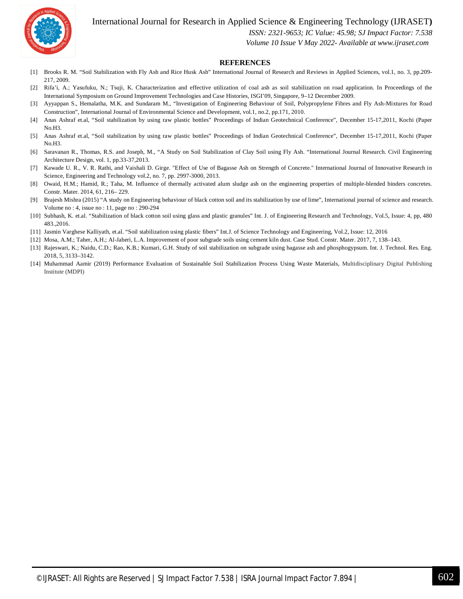International Journal for Research in Applied Science & Engineering Technology (IJRASET**)**



 *ISSN: 2321-9653; IC Value: 45.98; SJ Impact Factor: 7.538*

 *Volume 10 Issue V May 2022- Available at www.ijraset.com*

#### **REFERENCES**

- [1] Brooks R. M. "Soil Stabilization with Fly Ash and Rice Husk Ash" International Journal of Research and Reviews in Applied Sciences, vol.1, no. 3, pp.209- 217, 2009.
- [2] Rifa'i, A.; Yasufuku, N.; Tsuji, K. Characterization and effective utilization of coal ash as soil stabilization on road application. In Proceedings of the International Symposium on Ground Improvement Technologies and Case Histories, ISGI'09, Singapore, 9–12 December 2009.
- [3] Ayyappan S., Hemalatha, M.K. and Sundaram M., "Investigation of Engineering Behaviour of Soil, Polypropylene Fibres and Fly Ash-Mixtures for Road Construction", International Journal of Environmental Science and Development, vol.1, no.2, pp.171, 2010.
- [4] Anas Ashraf et.al, "Soil stabilization by using raw plastic bottles" Proceedings of Indian Geotechnical Conference", December 15-17,2011, Kochi (Paper No.H3.
- [5] Anas Ashraf et.al, "Soil stabilization by using raw plastic bottles" Proceedings of Indian Geotechnical Conference", December 15-17,2011, Kochi (Paper No.H3.
- [6] Saravanan R., Thomas, R.S. and Joseph, M., "A Study on Soil Stabilization of Clay Soil using Fly Ash. "International Journal Research. Civil Engineering Architecture Design, vol. 1, pp.33-37,2013.
- [7] Kawade U. R., V. R. Rathi, and Vaishali D. Girge. "Effect of Use of Bagasse Ash on Strength of Concrete." International Journal of Innovative Research in Science, Engineering and Technology vol.2, no. 7, pp. 2997-3000, 2013.
- [8] Owaid, H.M.; Hamid, R.; Taha, M. Influence of thermally activated alum sludge ash on the engineering properties of multiple-blended binders concretes. Constr. Mater. 2014, 61, 216– 229.
- [9] Brajesh Mishra (2015) "A study on Engineering behaviour of black cotton soil and its stabilization by use of lime", International journal of science and research. Volume no : 4, issue no : 11, page no : 290-294
- [10] Subhash, K. et.al. "Stabilization of black cotton soil using glass and plastic granules" Int. J. of Engineering Research and Technology, Vol.5, Issue: 4, pp, 480 483.,2016.
- [11] Jasmin Varghese Kalliyath, et.al. "Soil stabilization using plastic fibers" Int.J. of Science Technology and Engineering, Vol.2, Issue: 12, 2016
- [12] Mosa, A.M.; Taher, A.H.; Al-Jaberi, L.A. Improvement of poor subgrade soils using cement kiln dust. Case Stud. Constr. Mater. 2017, 7, 138–143.
- [13] Rajeswari, K.; Naidu, C.D.; Rao, K.B.; Kumari, G.H. Study of soil stabilization on subgrade using bagasse ash and phosphogypsum. Int. J. Technol. Res. Eng. 2018, 5, 3133–3142.
- [14] Muhammad Aamir (2019) Performance Evaluation of Sustainable Soil Stabilization Process Using Waste Materials, Multidisciplinary Digital Publishing Institute (MDPI)